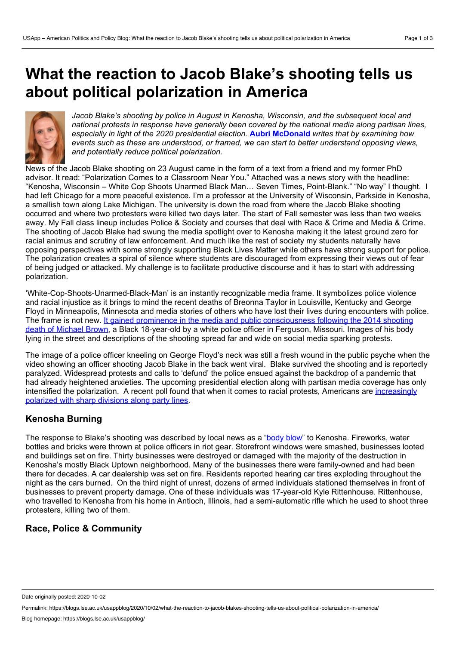# **What the reaction to Jacob Blake's shooting tells us about political polarization in America**



*Jacob Blake's shooting by police in August in Kenosha, Wisconsin, and the subsequent local and national protests in response have generally been covered by the national media along partisan lines, especially in light of the 2020 presidential election.* **Aubri [McDonald](https://wp.me/p3I2YF-amo#Author)** *writes that by examining how events such as these are understood, or framed, we can start to better understand opposing views, and potentially reduce political polarization.*

News of the Jacob Blake shooting on 23 August came in the form of a text from afriend and my former PhD advisor. It read: "Polarization Comes to a Classroom Near You." Attached was a news story with the headline: "Kenosha, Wisconsin – White Cop Shoots Unarmed Black Man… Seven Times, Point-Blank." "No way" I thought. I had left Chicago for a more peaceful existence. I'm a professor at the University of Wisconsin, Parkside in Kenosha, a smallish town along Lake Michigan. The university is down the road from where the Jacob Blake shooting occurred and where two protesters were killed two days later. The start of Fall semester was less than two weeks away. My Fall class lineup includes Police & Society and courses that deal with Race & Crime and Media & Crime. The shooting of Jacob Blake had swung the media spotlight over to Kenosha making it the latest ground zero for racial animus and scrutiny of law enforcement. And much like the rest of society my students naturally have opposing perspectives with some strongly supporting Black Lives Matter while others have strong support for police. The polarization creates a spiral of silence where students are discouraged from expressing their views out of fear of being judged or attacked. My challenge is to facilitate productive discourse and it has to start with addressing polarization.

'White-Cop-Shoots-Unarmed-Black-Man' is an instantly recognizable media frame. It symbolizes police violence and racial injustice as it brings to mind the recent deaths of Breonna Taylor in Louisville, Kentucky and George Floyd in Minneapolis, Minnesota and media stories of others who have lost their lives during encounters with police. The frame is not new. It gained prominence in the media and public [consciousness](https://www.usatoday.com/story/news/nation-now/2016/08/08/how-michael-browns-death-two-years-ago-pushed-blacklivesmatter-into-movement/88424366/) following the 2014 shooting death of Michael Brown, a Black 18-year-old by a white police officer in Ferguson, Missouri. Images of his body lying in the street and descriptions of the shooting spread far and wide on social media sparking protests.

The image of a police officer kneeling on George Floyd's neck was still a fresh wound in the public psyche when the video showing an officer shooting Jacob Blake in the back went viral. Blake survived the shooting and is reportedly paralyzed. Widespread protests and calls to 'defund' the police ensued against the backdrop of a pandemic that had already heightened anxieties. The upcoming presidential election along with partisan media coverage has only intensified the [polarization.](https://www.npr.org/2020/09/03/908878610/americans-increasingly-polarized-when-it-comes-to-racial-justice-protests-poll-f) A recent poll found that when it comes to racial protests, Americans are increasingly polarized with sharp divisions along party lines.

# **Kenosha Burning**

The response to Blake's shooting was described by local news as a ["body](https://www.kenoshanews.com/news/local/watch-now-uptown-in-ruins-why-would-they-do-this/article_cb01e7d7-fe9c-5ef5-9735-46f5983a71db.html) blow" to Kenosha. Fireworks, water bottles and bricks were thrown at police officers in riot gear. Storefront windows were smashed, businesses looted and buildings set on fire. Thirty businesses were destroyed or damaged with the majority of the destruction in Kenosha's mostly Black Uptown neighborhood. Many of the businesses there were family-owned and had been there for decades. A car dealership was set on fire. Residents reported hearing car tires exploding throughout the night as the cars burned. On the third night of unrest, dozens of armed individuals stationed themselves in front of businesses to prevent property damage. One of these individuals was 17-year-old Kyle Rittenhouse. Rittenhouse, who travelled to Kenosha from his home in Antioch, Illinois, had a semi-automatic rifle which he used to shoot three protesters, killing two of them.

# **Race, Police & Community**

Date originally posted: 2020-10-02

Permalink: https://blogs.lse.ac.uk/usappblog/2020/10/02/what-the-reaction-to-jacob-blakes-shooting-tells-us-about-political-polarization-in-america/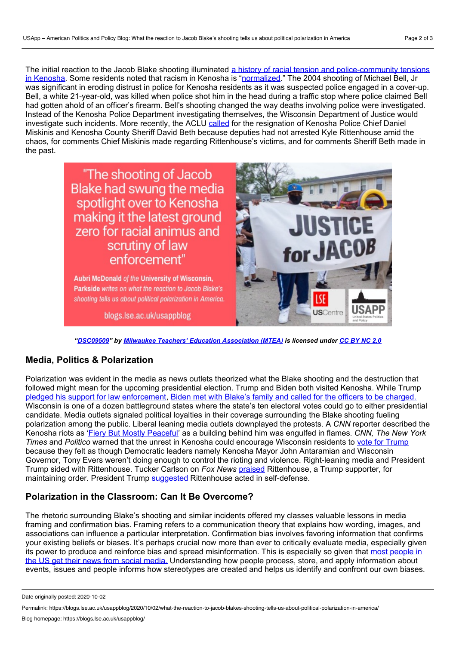The initial reaction to the Jacob Blake shooting illuminated a history of racial tension and [police-community](https://time.com/5883537/kenosha-wisconsin-jacob-blake/) tensions in Kenosha. Some residents noted that racism in Kenosha is "[normalized](https://www.insider.com/kenosha-race-relations-jacob-blake-police-kyle-rittenhouse-shootings-2020-8)." The 2004 shooting of Michael Bell, Jr was significant in eroding distrust in police for Kenosha residents as it was suspected police engaged in a cover-up. Bell, a white 21-year-old, was killed when police shot him in the head during a traffic stop where police claimed Bell had gotten ahold of an officer's firearm. Bell's shooting changed the way deaths involving police were investigated. Instead of the Kenosha Police Department investigating themselves, the Wisconsin Department of Justice would investigate such incidents. More recently, the ACLU [called](https://www.aclu-wi.org/en/news/aclu-calls-immediate-resignation-kenosha-police-chief-and-kenosha-county-sheriff-failed) for the resignation of Kenosha Police Chief Daniel Miskinis and Kenosha County Sheriff David Beth because deputies had not arrested Kyle Rittenhouse amid the chaos, for comments Chief Miskinis made regarding Rittenhouse's victims, and for comments Sheriff Beth made in the past.



*["DSC09509](https://www.flickr.com/photos/126164815@N04/50296995653/)" by Milwaukee Teachers' Education [Association](https://www.flickr.com/photos/126164815@N04/) (MTEA) is licensed under CC BY [NC](https://creativecommons.org/licenses/by-nc/2.0/) 2.0*

# **Media, Politics & Polarization**

Polarization was evident in the media as news outlets theorized what the Blake shooting and the destruction that followed might mean for the upcoming presidential election. Trump and Biden both visited Kenosha. While Trump pledged his support for law [enforcement,](https://www.bbc.com/news/world-us-canada-53989076) Biden met with Blake's family and called for the officers to be [charged.](https://www.latimes.com/world-nation/story/2020-09-02/kenosha-biden-jacob-blake) Wisconsin is one of a dozen battleground states where the state's ten electoral votes could go to either presidential candidate. Media outlets signaled political loyalties in their coverage surrounding the Blake shooting fueling polarization among the public. Liberal leaning media outlets downplayed the protests. A *CNN* reporter described the Kenosha riots as 'Fiery But Mostly [Peaceful'](https://www.youtube.com/watch?v=G9_OMGM5qTc) as a building behind him was engulfed in flames. *CNN, The New York Times* and *Politico* warned that the unrest in Kenosha could encourage Wisconsin residents to vote for [Trump](https://www.foxnews.com/media/biden-kenosha-violence-media-unrest-helps-trump) because they felt as though Democratic leaders namely Kenosha Mayor John Antaramian and Wisconsin Governor, Tony Evers weren't doing enough to control the rioting and violence. Right-leaning media and President Trump sided with Rittenhouse. Tucker Carlson on *Fox News* [praised](https://www.cbsnews.com/news/tucker-carlson-kyle-rittenhouse-defense-shooting-suspect-backlash/) Rittenhouse, a Trump supporter, for maintaining order. President Trump [suggested](https://www.cnbc.com/2020/08/31/trump-suggests-accused-kenosha-killer-kyle-rittenhouse-acted-in-self-defense.html) Rittenhouse acted in self-defense.

# **Polarization in the Classroom: Can It Be Overcome?**

The rhetoric surrounding Blake's shooting and similar incidents offered my classes valuable lessons in media framing and confirmation bias. Framing refers to a communication theory that explains how wording, images, and associations can influence a particular interpretation. Confirmation bias involves favoring information that confirms your existing beliefs or biases. It's perhaps crucial now more than ever to critically evaluate media, especially given its power to produce and reinforce bias and spread [misinformation.](https://www.journalism.org/2019/10/02/americans-are-wary-of-the-role-social-media-sites-play-in-delivering-the-news/) This is especially so given that most people in the US get their news from social media. Understanding how people process, store, and apply information about events, issues and people informs how stereotypes are created and helps us identify and confront our own biases.

Date originally posted: 2020-10-02

Permalink: https://blogs.lse.ac.uk/usappblog/2020/10/02/what-the-reaction-to-jacob-blakes-shooting-tells-us-about-political-polarization-in-america/